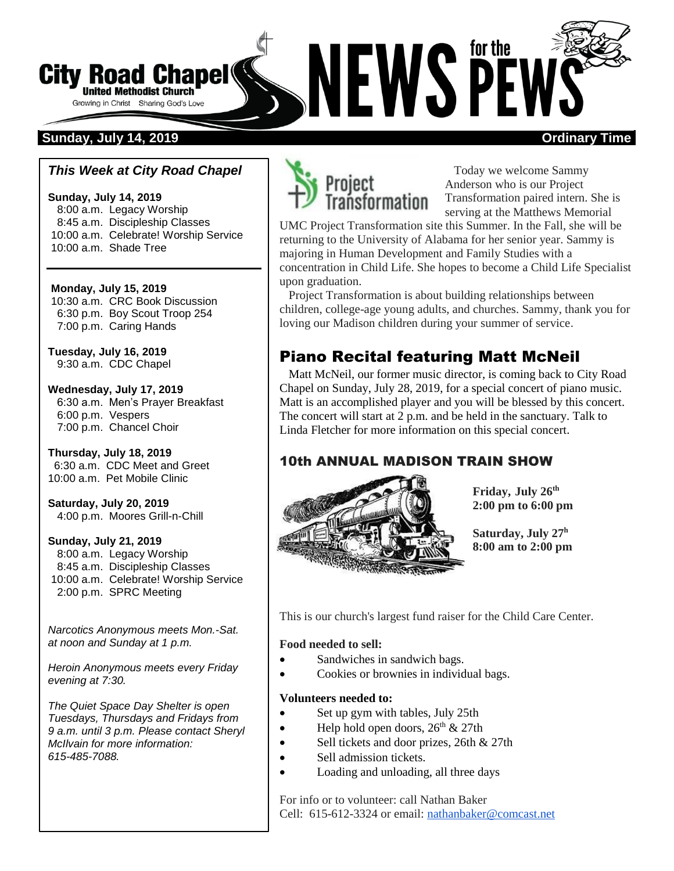# **City Road Chapel**<br>
Given a Chapter of Sharing God's Love<br>
Sunday, July 14, 2019 **City Road Chapel United Methodist Church** Growing in Christ Sharing God's Love

### *This Week at City Road Chapel*

**Sunday, July 14, 2019** 8:00 a.m. Legacy Worship 8:45 a.m. Discipleship Classes 10:00 a.m. Celebrate! Worship Service 10:00 a.m. Shade Tree

**Monday, July 15, 2019** 10:30 a.m. CRC Book Discussion 6:30 p.m. Boy Scout Troop 254 7:00 p.m. Caring Hands

**Tuesday, July 16, 2019** 9:30 a.m. CDC Chapel

**Wednesday, July 17, 2019** 6:30 a.m. Men's Prayer Breakfast 6:00 p.m. Vespers 7:00 p.m. Chancel Choir

**Thursday, July 18, 2019** 6:30 a.m. CDC Meet and Greet 10:00 a.m. Pet Mobile Clinic

**Saturday, July 20, 2019** 4:00 p.m. Moores Grill-n-Chill

**Sunday, July 21, 2019** 8:00 a.m. Legacy Worship 8:45 a.m. Discipleship Classes

10:00 a.m. Celebrate! Worship Service 2:00 p.m. SPRC Meeting

*Narcotics Anonymous meets Mon.-Sat. at noon and Sunday at 1 p.m.*

*Heroin Anonymous meets every Friday evening at 7:30.*

*The Quiet Space Day Shelter is open Tuesdays, Thursdays and Fridays from 9 a.m. until 3 p.m. Please contact Sheryl McIlvain for more information: 615-485-7088.* 



 Today we welcome Sammy Anderson who is our Project Transformation paired intern. She is serving at the Matthews Memorial

UMC Project Transformation site this Summer. In the Fall, she will be returning to the University of Alabama for her senior year. Sammy is majoring in Human Development and Family Studies with a concentration in Child Life. She hopes to become a Child Life Specialist upon graduation.

 Project Transformation is about building relationships between children, college-age young adults, and churches. Sammy, thank you for loving our Madison children during your summer of service.

# Piano Recital featuring Matt McNeil

 Matt McNeil, our former music director, is coming back to City Road Chapel on Sunday, July 28, 2019, for a special concert of piano music. Matt is an accomplished player and you will be blessed by this concert. The concert will start at 2 p.m. and be held in the sanctuary. Talk to Linda Fletcher for more information on this special concert.

## 10th ANNUAL MADISON TRAIN SHOW



**Friday, July 26 th 2:00 pm to 6:00 pm**

**Saturday, July 27 h 8:00 am to 2:00 pm**

This is our church's largest fund raiser for the Child Care Center.

#### **Food needed to sell:**

- Sandwiches in sandwich bags.
- Cookies or brownies in individual bags.

#### **Volunteers needed to:**

- Set up gym with tables, July 25th
- Help hold open doors,  $26<sup>th</sup>$  & 27th
- Sell tickets and door prizes, 26th & 27th
- Sell admission tickets.
- Loading and unloading, all three days

For info or to volunteer: call Nathan Baker Cell: 615-612-3324 or email: [nathanbaker@comcast.net](mailto:nathanbaker@comcast.net)